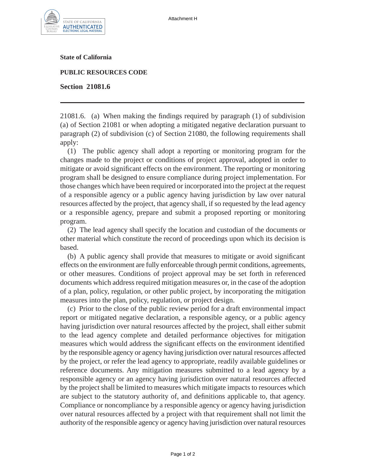

**State of California**

**PUBLIC RESOURCES CODE**

**Section 21081.6**

21081.6. (a) When making the findings required by paragraph (1) of subdivision (a) of Section 21081 or when adopting a mitigated negative declaration pursuant to paragraph (2) of subdivision (c) of Section 21080, the following requirements shall apply:

(1) The public agency shall adopt a reporting or monitoring program for the changes made to the project or conditions of project approval, adopted in order to mitigate or avoid significant effects on the environment. The reporting or monitoring program shall be designed to ensure compliance during project implementation. For those changes which have been required or incorporated into the project at the request of a responsible agency or a public agency having jurisdiction by law over natural resources affected by the project, that agency shall, if so requested by the lead agency or a responsible agency, prepare and submit a proposed reporting or monitoring program.

(2) The lead agency shall specify the location and custodian of the documents or other material which constitute the record of proceedings upon which its decision is based.

(b) A public agency shall provide that measures to mitigate or avoid significant effects on the environment are fully enforceable through permit conditions, agreements, or other measures. Conditions of project approval may be set forth in referenced documents which address required mitigation measures or, in the case of the adoption of a plan, policy, regulation, or other public project, by incorporating the mitigation measures into the plan, policy, regulation, or project design.

(c) Prior to the close of the public review period for a draft environmental impact report or mitigated negative declaration, a responsible agency, or a public agency having jurisdiction over natural resources affected by the project, shall either submit to the lead agency complete and detailed performance objectives for mitigation measures which would address the significant effects on the environment identified by the responsible agency or agency having jurisdiction over natural resources affected by the project, or refer the lead agency to appropriate, readily available guidelines or reference documents. Any mitigation measures submitted to a lead agency by a responsible agency or an agency having jurisdiction over natural resources affected by the project shall be limited to measures which mitigate impacts to resources which are subject to the statutory authority of, and definitions applicable to, that agency. Compliance or noncompliance by a responsible agency or agency having jurisdiction over natural resources affected by a project with that requirement shall not limit the authority of the responsible agency or agency having jurisdiction over natural resources